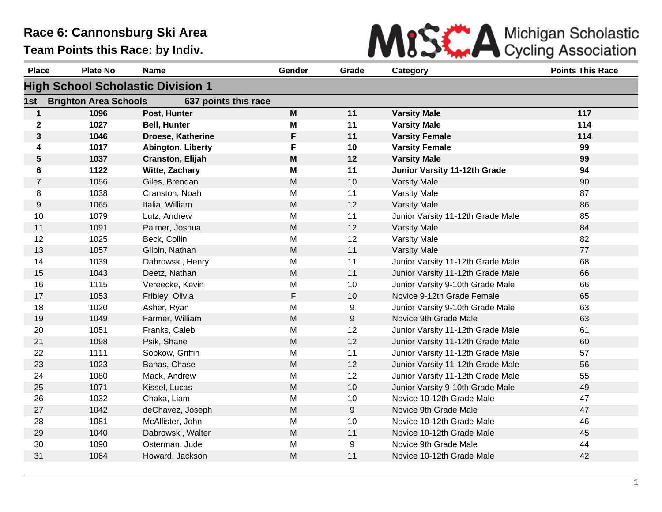

| <b>Place</b> | <b>Plate No</b>              | <b>Name</b>                              | Gender    | Grade | Category                          | <b>Points This Race</b> |
|--------------|------------------------------|------------------------------------------|-----------|-------|-----------------------------------|-------------------------|
|              |                              | <b>High School Scholastic Division 1</b> |           |       |                                   |                         |
| 1st          | <b>Brighton Area Schools</b> | 637 points this race                     |           |       |                                   |                         |
| $\mathbf{1}$ | 1096                         | Post, Hunter                             | M         | 11    | <b>Varsity Male</b>               | 117                     |
| $\mathbf 2$  | 1027                         | <b>Bell, Hunter</b>                      | M         | 11    | <b>Varsity Male</b>               | 114                     |
| 3            | 1046                         | Droese, Katherine                        | F         | 11    | <b>Varsity Female</b>             | 114                     |
| 4            | 1017                         | <b>Abington, Liberty</b>                 | F         | 10    | <b>Varsity Female</b>             | 99                      |
| 5            | 1037                         | Cranston, Elijah                         | M         | 12    | <b>Varsity Male</b>               | 99                      |
| 6            | 1122                         | Witte, Zachary                           | M         | 11    | Junior Varsity 11-12th Grade      | 94                      |
| 7            | 1056                         | Giles, Brendan                           | M         | 10    | <b>Varsity Male</b>               | 90                      |
| 8            | 1038                         | Cranston, Noah                           | M         | 11    | <b>Varsity Male</b>               | 87                      |
| 9            | 1065                         | Italia, William                          | M         | 12    | <b>Varsity Male</b>               | 86                      |
| 10           | 1079                         | Lutz, Andrew                             | M         | 11    | Junior Varsity 11-12th Grade Male | 85                      |
| 11           | 1091                         | Palmer, Joshua                           | M         | 12    | <b>Varsity Male</b>               | 84                      |
| 12           | 1025                         | Beck, Collin                             | M         | 12    | <b>Varsity Male</b>               | 82                      |
| 13           | 1057                         | Gilpin, Nathan                           | ${\sf M}$ | 11    | <b>Varsity Male</b>               | 77                      |
| 14           | 1039                         | Dabrowski, Henry                         | M         | 11    | Junior Varsity 11-12th Grade Male | 68                      |
| 15           | 1043                         | Deetz, Nathan                            | M         | 11    | Junior Varsity 11-12th Grade Male | 66                      |
| 16           | 1115                         | Vereecke, Kevin                          | M         | 10    | Junior Varsity 9-10th Grade Male  | 66                      |
| 17           | 1053                         | Fribley, Olivia                          | F         | 10    | Novice 9-12th Grade Female        | 65                      |
| 18           | 1020                         | Asher, Ryan                              | M         | 9     | Junior Varsity 9-10th Grade Male  | 63                      |
| 19           | 1049                         | Farmer, William                          | M         | 9     | Novice 9th Grade Male             | 63                      |
| 20           | 1051                         | Franks, Caleb                            | M         | 12    | Junior Varsity 11-12th Grade Male | 61                      |
| 21           | 1098                         | Psik, Shane                              | M         | 12    | Junior Varsity 11-12th Grade Male | 60                      |
| 22           | 1111                         | Sobkow, Griffin                          | M         | 11    | Junior Varsity 11-12th Grade Male | 57                      |
| 23           | 1023                         | Banas, Chase                             | M         | 12    | Junior Varsity 11-12th Grade Male | 56                      |
| 24           | 1080                         | Mack, Andrew                             | M         | 12    | Junior Varsity 11-12th Grade Male | 55                      |
| 25           | 1071                         | Kissel, Lucas                            | M         | 10    | Junior Varsity 9-10th Grade Male  | 49                      |
| 26           | 1032                         | Chaka, Liam                              | M         | 10    | Novice 10-12th Grade Male         | 47                      |
| 27           | 1042                         | deChavez, Joseph                         | M         | 9     | Novice 9th Grade Male             | 47                      |
| 28           | 1081                         | McAllister, John                         | M         | 10    | Novice 10-12th Grade Male         | 46                      |
| 29           | 1040                         | Dabrowski, Walter                        | M         | 11    | Novice 10-12th Grade Male         | 45                      |
| 30           | 1090                         | Osterman, Jude                           | M         | 9     | Novice 9th Grade Male             | 44                      |
| 31           | 1064                         | Howard, Jackson                          | M         | 11    | Novice 10-12th Grade Male         | 42                      |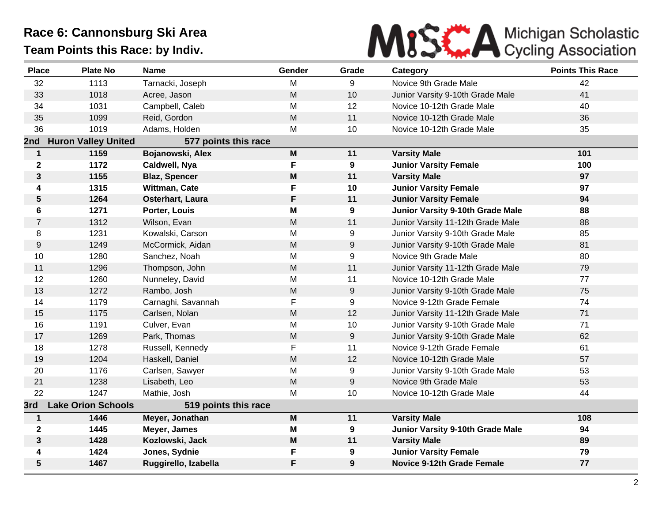

| <b>Place</b>   | <b>Plate No</b>            | <b>Name</b>          | Gender                                                                                | Grade            | Category                          | <b>Points This Race</b> |
|----------------|----------------------------|----------------------|---------------------------------------------------------------------------------------|------------------|-----------------------------------|-------------------------|
| 32             | 1113                       | Tarnacki, Joseph     | M                                                                                     | 9                | Novice 9th Grade Male             | 42                      |
| 33             | 1018                       | Acree, Jason         | ${\sf M}$                                                                             | 10               | Junior Varsity 9-10th Grade Male  | 41                      |
| 34             | 1031                       | Campbell, Caleb      | M                                                                                     | 12               | Novice 10-12th Grade Male         | 40                      |
| 35             | 1099                       | Reid, Gordon         | M                                                                                     | 11               | Novice 10-12th Grade Male         | 36                      |
| 36             | 1019                       | Adams, Holden        | M                                                                                     | 10               | Novice 10-12th Grade Male         | 35                      |
| 2nd            | <b>Huron Valley United</b> | 577 points this race |                                                                                       |                  |                                   |                         |
| $\mathbf{1}$   | 1159                       | Bojanowski, Alex     | $\mathsf{M}% _{T}=\mathsf{M}_{T}\!\left( a,b\right) ,\ \mathsf{M}_{T}=\mathsf{M}_{T}$ | 11               | <b>Varsity Male</b>               | 101                     |
| $\mathbf 2$    | 1172                       | Caldwell, Nya        | $\mathsf F$                                                                           | 9                | <b>Junior Varsity Female</b>      | 100                     |
| 3              | 1155                       | <b>Blaz, Spencer</b> | M                                                                                     | 11               | <b>Varsity Male</b>               | 97                      |
| 4              | 1315                       | Wittman, Cate        | F                                                                                     | 10               | <b>Junior Varsity Female</b>      | 97                      |
| ${\bf 5}$      | 1264                       | Osterhart, Laura     | F                                                                                     | 11               | <b>Junior Varsity Female</b>      | 94                      |
| 6              | 1271                       | Porter, Louis        | M                                                                                     | 9                | Junior Varsity 9-10th Grade Male  | 88                      |
| $\overline{7}$ | 1312                       | Wilson, Evan         | M                                                                                     | 11               | Junior Varsity 11-12th Grade Male | 88                      |
| 8              | 1231                       | Kowalski, Carson     | M                                                                                     | 9                | Junior Varsity 9-10th Grade Male  | 85                      |
| 9              | 1249                       | McCormick, Aidan     | M                                                                                     | 9                | Junior Varsity 9-10th Grade Male  | 81                      |
| 10             | 1280                       | Sanchez, Noah        | M                                                                                     | 9                | Novice 9th Grade Male             | 80                      |
| 11             | 1296                       | Thompson, John       | $\mathsf{M}% _{T}=\mathsf{M}_{T}\!\left( a,b\right) ,\ \mathsf{M}_{T}=\mathsf{M}_{T}$ | 11               | Junior Varsity 11-12th Grade Male | 79                      |
| 12             | 1260                       | Nunneley, David      | M                                                                                     | 11               | Novice 10-12th Grade Male         | 77                      |
| 13             | 1272                       | Rambo, Josh          | $\mathsf{M}% _{T}=\mathsf{M}_{T}\!\left( a,b\right) ,\ \mathsf{M}_{T}=\mathsf{M}_{T}$ | $\boldsymbol{9}$ | Junior Varsity 9-10th Grade Male  | 75                      |
| 14             | 1179                       | Carnaghi, Savannah   | F                                                                                     | 9                | Novice 9-12th Grade Female        | 74                      |
| 15             | 1175                       | Carlsen, Nolan       | M                                                                                     | 12               | Junior Varsity 11-12th Grade Male | 71                      |
| 16             | 1191                       | Culver, Evan         | M                                                                                     | 10               | Junior Varsity 9-10th Grade Male  | 71                      |
| 17             | 1269                       | Park, Thomas         | M                                                                                     | 9                | Junior Varsity 9-10th Grade Male  | 62                      |
| 18             | 1278                       | Russell, Kennedy     | F                                                                                     | 11               | Novice 9-12th Grade Female        | 61                      |
| 19             | 1204                       | Haskell, Daniel      | M                                                                                     | 12               | Novice 10-12th Grade Male         | 57                      |
| 20             | 1176                       | Carlsen, Sawyer      | M                                                                                     | 9                | Junior Varsity 9-10th Grade Male  | 53                      |
| 21             | 1238                       | Lisabeth, Leo        | $\mathsf{M}% _{T}=\mathsf{M}_{T}\!\left( a,b\right) ,\ \mathsf{M}_{T}=\mathsf{M}_{T}$ | $\boldsymbol{9}$ | Novice 9th Grade Male             | 53                      |
| 22             | 1247                       | Mathie, Josh         | M                                                                                     | 10               | Novice 10-12th Grade Male         | 44                      |
| 3rd            | <b>Lake Orion Schools</b>  | 519 points this race |                                                                                       |                  |                                   |                         |
| $\mathbf{1}$   | 1446                       | Meyer, Jonathan      | $\mathsf{M}% _{T}=\mathsf{M}_{T}\!\left( a,b\right) ,\ \mathsf{M}_{T}=\mathsf{M}_{T}$ | 11               | <b>Varsity Male</b>               | 108                     |
| $\mathbf 2$    | 1445                       | Meyer, James         | M                                                                                     | 9                | Junior Varsity 9-10th Grade Male  | 94                      |
| $\mathbf{3}$   | 1428                       | Kozlowski, Jack      | M                                                                                     | 11               | <b>Varsity Male</b>               | 89                      |
| 4              | 1424                       | Jones, Sydnie        | F                                                                                     | 9                | <b>Junior Varsity Female</b>      | 79                      |
| 5              | 1467                       | Ruggirello, Izabella | F                                                                                     | 9                | <b>Novice 9-12th Grade Female</b> | 77                      |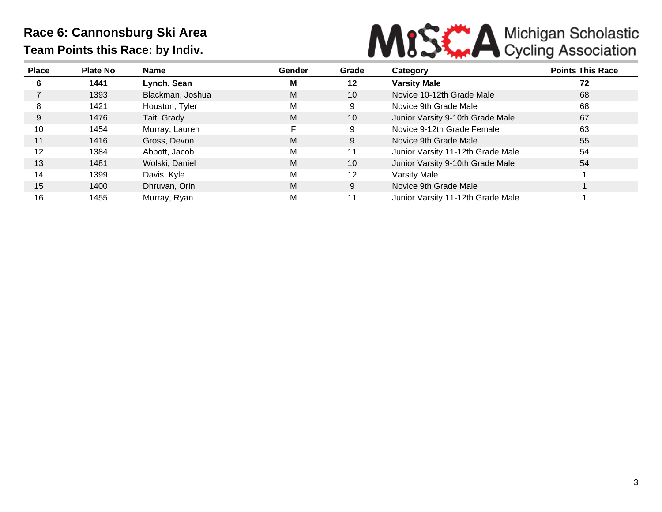

| <b>Place</b> | <b>Plate No</b> | Name             | Gender | Grade           | Category                          | <b>Points This Race</b> |
|--------------|-----------------|------------------|--------|-----------------|-----------------------------------|-------------------------|
| 6            | 1441            | Lynch, Sean      | М      | 12              | <b>Varsity Male</b>               | 72                      |
|              | 1393            | Blackman, Joshua | M      | 10 <sup>°</sup> | Novice 10-12th Grade Male         | 68                      |
| 8            | 1421            | Houston, Tyler   | M      | 9               | Novice 9th Grade Male             | 68                      |
| 9            | 1476            | Tait, Grady      | M      | 10 <sup>°</sup> | Junior Varsity 9-10th Grade Male  | 67                      |
| 10           | 1454            | Murray, Lauren   | E.     | 9               | Novice 9-12th Grade Female        | 63                      |
| 11           | 1416            | Gross, Devon     | M      | 9               | Novice 9th Grade Male             | 55                      |
| 12           | 1384            | Abbott, Jacob    | M      | 11              | Junior Varsity 11-12th Grade Male | 54                      |
| 13           | 1481            | Wolski, Daniel   | M      | 10 <sup>°</sup> | Junior Varsity 9-10th Grade Male  | 54                      |
| 14           | 1399            | Davis, Kyle      | М      | 12              | Varsity Male                      |                         |
| 15           | 1400            | Dhruvan, Orin    | M      | 9               | Novice 9th Grade Male             |                         |
| 16           | 1455            | Murray, Ryan     | M      | 11              | Junior Varsity 11-12th Grade Male |                         |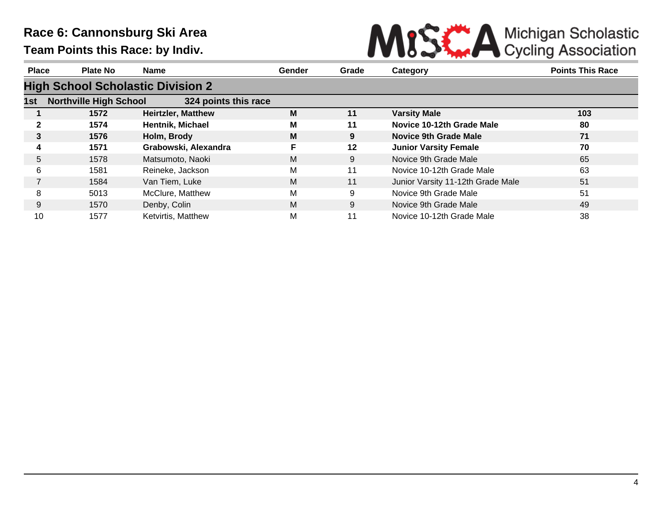

| <b>Place</b> | <b>Plate No</b>                          | <b>Name</b>               | Gender | Grade   | Category                          | <b>Points This Race</b> |  |  |  |  |
|--------------|------------------------------------------|---------------------------|--------|---------|-----------------------------------|-------------------------|--|--|--|--|
|              | <b>High School Scholastic Division 2</b> |                           |        |         |                                   |                         |  |  |  |  |
| 1st          | <b>Northville High School</b>            | 324 points this race      |        |         |                                   |                         |  |  |  |  |
|              | 1572                                     | <b>Heirtzler, Matthew</b> | M      | 11      | <b>Varsity Male</b>               | 103                     |  |  |  |  |
| 2            | 1574                                     | Hentnik, Michael          | М      | 11      | Novice 10-12th Grade Male         | 80                      |  |  |  |  |
| 3            | 1576                                     | Holm, Brody               | M      | 9       | <b>Novice 9th Grade Male</b>      | 71                      |  |  |  |  |
| 4            | 1571                                     | Grabowski, Alexandra      |        | $12 \,$ | <b>Junior Varsity Female</b>      | 70                      |  |  |  |  |
| 5            | 1578                                     | Matsumoto, Naoki          | M      | 9       | Novice 9th Grade Male             | 65                      |  |  |  |  |
| 6            | 1581                                     | Reineke, Jackson          | М      | 11      | Novice 10-12th Grade Male         | 63                      |  |  |  |  |
|              | 1584                                     | Van Tiem, Luke            | M      | 11      | Junior Varsity 11-12th Grade Male | 51                      |  |  |  |  |
| 8            | 5013                                     | McClure, Matthew          | M      | 9       | Novice 9th Grade Male             | 51                      |  |  |  |  |
| 9            | 1570                                     | Denby, Colin              | M      | 9       | Novice 9th Grade Male             | 49                      |  |  |  |  |
| 10           | 1577                                     | Ketvirtis, Matthew        | M      | 11      | Novice 10-12th Grade Male         | 38                      |  |  |  |  |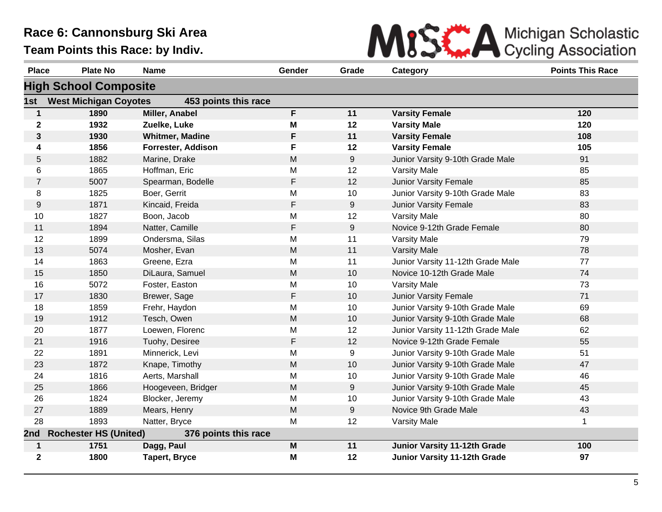

| <b>Place</b>   | <b>Plate No</b>              | <b>Name</b>            | Gender                                                                                | Grade | Category                          | <b>Points This Race</b> |
|----------------|------------------------------|------------------------|---------------------------------------------------------------------------------------|-------|-----------------------------------|-------------------------|
|                | <b>High School Composite</b> |                        |                                                                                       |       |                                   |                         |
| 1st            | <b>West Michigan Coyotes</b> | 453 points this race   |                                                                                       |       |                                   |                         |
| $\mathbf{1}$   | 1890                         | Miller, Anabel         | F                                                                                     | 11    | <b>Varsity Female</b>             | 120                     |
| $\mathbf 2$    | 1932                         | Zuelke, Luke           | M                                                                                     | 12    | <b>Varsity Male</b>               | 120                     |
| 3              | 1930                         | <b>Whitmer, Madine</b> | F                                                                                     | 11    | <b>Varsity Female</b>             | 108                     |
| 4              | 1856                         | Forrester, Addison     | F                                                                                     | 12    | <b>Varsity Female</b>             | 105                     |
| 5              | 1882                         | Marine, Drake          | M                                                                                     | 9     | Junior Varsity 9-10th Grade Male  | 91                      |
| 6              | 1865                         | Hoffman, Eric          | M                                                                                     | 12    | <b>Varsity Male</b>               | 85                      |
| $\overline{7}$ | 5007                         | Spearman, Bodelle      | F                                                                                     | 12    | Junior Varsity Female             | 85                      |
| 8              | 1825                         | Boer, Gerrit           | M                                                                                     | 10    | Junior Varsity 9-10th Grade Male  | 83                      |
| 9              | 1871                         | Kincaid, Freida        | F                                                                                     | 9     | Junior Varsity Female             | 83                      |
| 10             | 1827                         | Boon, Jacob            | M                                                                                     | 12    | <b>Varsity Male</b>               | 80                      |
| 11             | 1894                         | Natter, Camille        | F                                                                                     | $9\,$ | Novice 9-12th Grade Female        | 80                      |
| 12             | 1899                         | Ondersma, Silas        | M                                                                                     | 11    | <b>Varsity Male</b>               | 79                      |
| 13             | 5074                         | Mosher, Evan           | M                                                                                     | 11    | <b>Varsity Male</b>               | 78                      |
| 14             | 1863                         | Greene, Ezra           | M                                                                                     | 11    | Junior Varsity 11-12th Grade Male | 77                      |
| 15             | 1850                         | DiLaura, Samuel        | M                                                                                     | 10    | Novice 10-12th Grade Male         | 74                      |
| 16             | 5072                         | Foster, Easton         | M                                                                                     | 10    | <b>Varsity Male</b>               | 73                      |
| 17             | 1830                         | Brewer, Sage           | F                                                                                     | 10    | Junior Varsity Female             | 71                      |
| 18             | 1859                         | Frehr, Haydon          | M                                                                                     | 10    | Junior Varsity 9-10th Grade Male  | 69                      |
| 19             | 1912                         | Tesch, Owen            | M                                                                                     | 10    | Junior Varsity 9-10th Grade Male  | 68                      |
| 20             | 1877                         | Loewen, Florenc        | M                                                                                     | 12    | Junior Varsity 11-12th Grade Male | 62                      |
| 21             | 1916                         | Tuohy, Desiree         | F                                                                                     | 12    | Novice 9-12th Grade Female        | 55                      |
| 22             | 1891                         | Minnerick, Levi        | M                                                                                     | 9     | Junior Varsity 9-10th Grade Male  | 51                      |
| 23             | 1872                         | Knape, Timothy         | M                                                                                     | 10    | Junior Varsity 9-10th Grade Male  | 47                      |
| 24             | 1816                         | Aerts, Marshall        | M                                                                                     | 10    | Junior Varsity 9-10th Grade Male  | 46                      |
| 25             | 1866                         | Hoogeveen, Bridger     | M                                                                                     | $9\,$ | Junior Varsity 9-10th Grade Male  | 45                      |
| 26             | 1824                         | Blocker, Jeremy        | M                                                                                     | 10    | Junior Varsity 9-10th Grade Male  | 43                      |
| 27             | 1889                         | Mears, Henry           | M                                                                                     | 9     | Novice 9th Grade Male             | 43                      |
| 28             | 1893                         | Natter, Bryce          | M                                                                                     | 12    | <b>Varsity Male</b>               | 1                       |
| 2nd            | <b>Rochester HS (United)</b> | 376 points this race   |                                                                                       |       |                                   |                         |
| $\mathbf{1}$   | 1751                         | Dagg, Paul             | $\mathsf{M}% _{T}=\mathsf{M}_{T}\!\left( a,b\right) ,\ \mathsf{M}_{T}=\mathsf{M}_{T}$ | 11    | Junior Varsity 11-12th Grade      | 100                     |
| $\mathbf{2}$   | 1800                         | <b>Tapert, Bryce</b>   | M                                                                                     | 12    | Junior Varsity 11-12th Grade      | 97                      |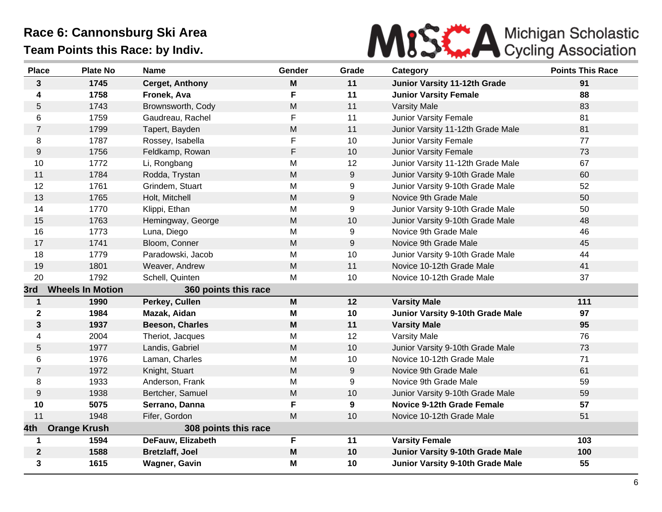

| <b>Place</b>     | <b>Plate No</b>         | <b>Name</b>            | Gender                                                                                | Grade | Category                            | <b>Points This Race</b> |
|------------------|-------------------------|------------------------|---------------------------------------------------------------------------------------|-------|-------------------------------------|-------------------------|
| $\mathbf{3}$     | 1745                    | <b>Cerget, Anthony</b> | M                                                                                     | 11    | <b>Junior Varsity 11-12th Grade</b> | 91                      |
| 4                | 1758                    | Fronek, Ava            | F.                                                                                    | 11    | <b>Junior Varsity Female</b>        | 88                      |
| 5                | 1743                    | Brownsworth, Cody      | M                                                                                     | 11    | <b>Varsity Male</b>                 | 83                      |
| 6                | 1759                    | Gaudreau, Rachel       | F                                                                                     | 11    | Junior Varsity Female               | 81                      |
| $\overline{7}$   | 1799                    | Tapert, Bayden         | M                                                                                     | 11    | Junior Varsity 11-12th Grade Male   | 81                      |
| 8                | 1787                    | Rossey, Isabella       | F                                                                                     | 10    | Junior Varsity Female               | 77                      |
| $\boldsymbol{9}$ | 1756                    | Feldkamp, Rowan        | F                                                                                     | 10    | Junior Varsity Female               | 73                      |
| 10               | 1772                    | Li, Rongbang           | M                                                                                     | 12    | Junior Varsity 11-12th Grade Male   | 67                      |
| 11               | 1784                    | Rodda, Trystan         | M                                                                                     | 9     | Junior Varsity 9-10th Grade Male    | 60                      |
| 12               | 1761                    | Grindem, Stuart        | M                                                                                     | 9     | Junior Varsity 9-10th Grade Male    | 52                      |
| 13               | 1765                    | Holt, Mitchell         | ${\sf M}$                                                                             | 9     | Novice 9th Grade Male               | 50                      |
| 14               | 1770                    | Klippi, Ethan          | M                                                                                     | 9     | Junior Varsity 9-10th Grade Male    | 50                      |
| 15               | 1763                    | Hemingway, George      | ${\sf M}$                                                                             | 10    | Junior Varsity 9-10th Grade Male    | 48                      |
| 16               | 1773                    | Luna, Diego            | M                                                                                     | 9     | Novice 9th Grade Male               | 46                      |
| 17               | 1741                    | Bloom, Conner          | M                                                                                     | 9     | Novice 9th Grade Male               | 45                      |
| 18               | 1779                    | Paradowski, Jacob      | M                                                                                     | 10    | Junior Varsity 9-10th Grade Male    | 44                      |
| 19               | 1801                    | Weaver, Andrew         | M                                                                                     | 11    | Novice 10-12th Grade Male           | 41                      |
| 20               | 1792                    | Schell, Quinten        | M                                                                                     | 10    | Novice 10-12th Grade Male           | 37                      |
| 3rd              | <b>Wheels In Motion</b> | 360 points this race   |                                                                                       |       |                                     |                         |
| $\mathbf{1}$     | 1990                    | Perkey, Cullen         | $\mathsf{M}$                                                                          | 12    | <b>Varsity Male</b>                 | 111                     |
| $\mathbf 2$      | 1984                    | Mazak, Aidan           | M                                                                                     | 10    | Junior Varsity 9-10th Grade Male    | 97                      |
| 3                | 1937                    | <b>Beeson, Charles</b> | M                                                                                     | 11    | <b>Varsity Male</b>                 | 95                      |
| 4                | 2004                    | Theriot, Jacques       | M                                                                                     | 12    | Varsity Male                        | 76                      |
| 5                | 1977                    | Landis, Gabriel        | ${\sf M}$                                                                             | 10    | Junior Varsity 9-10th Grade Male    | 73                      |
| 6                | 1976                    | Laman, Charles         | M                                                                                     | 10    | Novice 10-12th Grade Male           | 71                      |
| $\overline{7}$   | 1972                    | Knight, Stuart         | M                                                                                     | 9     | Novice 9th Grade Male               | 61                      |
| 8                | 1933                    | Anderson, Frank        | M                                                                                     | 9     | Novice 9th Grade Male               | 59                      |
| $\boldsymbol{9}$ | 1938                    | Bertcher, Samuel       | M                                                                                     | 10    | Junior Varsity 9-10th Grade Male    | 59                      |
| 10               | 5075                    | Serrano, Danna         | F                                                                                     | 9     | <b>Novice 9-12th Grade Female</b>   | 57                      |
| 11               | 1948                    | Fifer, Gordon          | M                                                                                     | 10    | Novice 10-12th Grade Male           | 51                      |
| 4th              | <b>Orange Krush</b>     | 308 points this race   |                                                                                       |       |                                     |                         |
| 1                | 1594                    | DeFauw, Elizabeth      | F.                                                                                    | 11    | <b>Varsity Female</b>               | 103                     |
| $\mathbf 2$      | 1588                    | <b>Bretzlaff, Joel</b> | $\mathsf{M}% _{T}=\mathsf{M}_{T}\!\left( a,b\right) ,\ \mathsf{M}_{T}=\mathsf{M}_{T}$ | 10    | Junior Varsity 9-10th Grade Male    | 100                     |
| 3                | 1615                    | Wagner, Gavin          | M                                                                                     | 10    | Junior Varsity 9-10th Grade Male    | 55                      |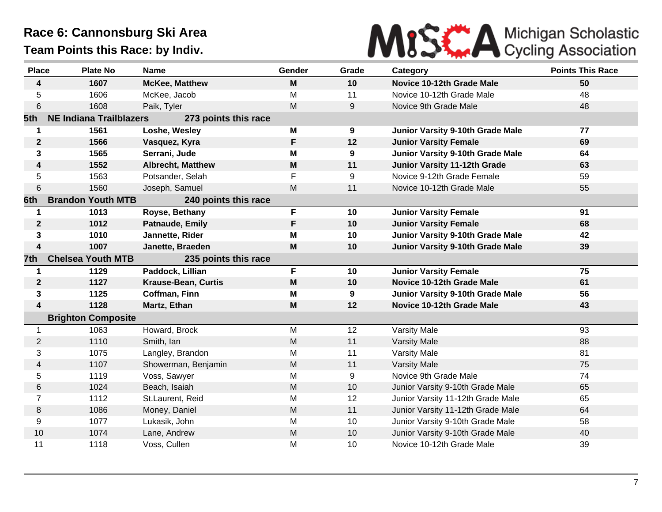

| <b>Place</b>     | <b>Plate No</b>                | <b>Name</b>                | Gender | Grade | Category                                | <b>Points This Race</b> |
|------------------|--------------------------------|----------------------------|--------|-------|-----------------------------------------|-------------------------|
| 4                | 1607                           | <b>McKee, Matthew</b>      | M      | 10    | Novice 10-12th Grade Male               | 50                      |
| 5                | 1606                           | McKee, Jacob               | M      | 11    | Novice 10-12th Grade Male               | 48                      |
| 6                | 1608                           | Paik, Tyler                | M      | 9     | Novice 9th Grade Male                   | 48                      |
| 5th              | <b>NE Indiana Trailblazers</b> | 273 points this race       |        |       |                                         |                         |
| $\mathbf 1$      | 1561                           | Loshe, Wesley              | M      | 9     | Junior Varsity 9-10th Grade Male        | 77                      |
| $\mathbf{2}$     | 1566                           | Vasquez, Kyra              | F      | 12    | <b>Junior Varsity Female</b>            | 69                      |
| 3                | 1565                           | Serrani, Jude              | M      | 9     | Junior Varsity 9-10th Grade Male        | 64                      |
| 4                | 1552                           | <b>Albrecht, Matthew</b>   | M      | 11    | Junior Varsity 11-12th Grade            | 63                      |
| 5                | 1563                           | Potsander, Selah           | F      | 9     | Novice 9-12th Grade Female              | 59                      |
| 6                | 1560                           | Joseph, Samuel             | M      | 11    | Novice 10-12th Grade Male               | 55                      |
| 6th              | <b>Brandon Youth MTB</b>       | 240 points this race       |        |       |                                         |                         |
| 1                | 1013                           | Royse, Bethany             | F      | 10    | <b>Junior Varsity Female</b>            | 91                      |
| $\boldsymbol{2}$ | 1012                           | Patnaude, Emily            | F      | 10    | <b>Junior Varsity Female</b>            | 68                      |
| 3                | 1010                           | Jannette, Rider            | M      | 10    | Junior Varsity 9-10th Grade Male        | 42                      |
| 4                | 1007                           | Janette, Braeden           | M      | 10    | <b>Junior Varsity 9-10th Grade Male</b> | 39                      |
| 7th              | <b>Chelsea Youth MTB</b>       | 235 points this race       |        |       |                                         |                         |
| $\mathbf 1$      | 1129                           | Paddock, Lillian           | F      | 10    | <b>Junior Varsity Female</b>            | $\overline{75}$         |
| $\mathbf{2}$     | 1127                           | <b>Krause-Bean, Curtis</b> | M      | 10    | Novice 10-12th Grade Male               | 61                      |
| 3                | 1125                           | Coffman, Finn              | M      | 9     | Junior Varsity 9-10th Grade Male        | 56                      |
| 4                | 1128                           | Martz, Ethan               | M      | 12    | Novice 10-12th Grade Male               | 43                      |
|                  | <b>Brighton Composite</b>      |                            |        |       |                                         |                         |
| 1                | 1063                           | Howard, Brock              | M      | 12    | Varsity Male                            | 93                      |
| $\overline{2}$   | 1110                           | Smith, Ian                 | M      | 11    | <b>Varsity Male</b>                     | 88                      |
| 3                | 1075                           | Langley, Brandon           | M      | 11    | <b>Varsity Male</b>                     | 81                      |
| 4                | 1107                           | Showerman, Benjamin        | M      | 11    | <b>Varsity Male</b>                     | 75                      |
| 5                | 1119                           | Voss, Sawyer               | M      | 9     | Novice 9th Grade Male                   | 74                      |
| 6                | 1024                           | Beach, Isaiah              | M      | 10    | Junior Varsity 9-10th Grade Male        | 65                      |
| $\overline{7}$   | 1112                           | St.Laurent, Reid           | M      | 12    | Junior Varsity 11-12th Grade Male       | 65                      |
| 8                | 1086                           | Money, Daniel              | M      | 11    | Junior Varsity 11-12th Grade Male       | 64                      |
| 9                | 1077                           | Lukasik, John              | M      | 10    | Junior Varsity 9-10th Grade Male        | 58                      |
| 10               | 1074                           | Lane, Andrew               | M      | 10    | Junior Varsity 9-10th Grade Male        | 40                      |
| 11               | 1118                           | Voss, Cullen               | M      | 10    | Novice 10-12th Grade Male               | 39                      |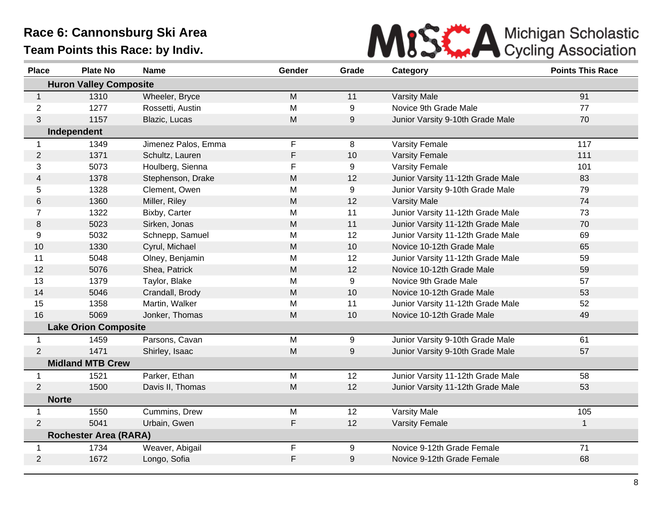

| <b>Place</b>   | <b>Plate No</b>               | <b>Name</b>         | Gender      | Grade | Category                          | <b>Points This Race</b> |
|----------------|-------------------------------|---------------------|-------------|-------|-----------------------------------|-------------------------|
|                | <b>Huron Valley Composite</b> |                     |             |       |                                   |                         |
| $\mathbf{1}$   | 1310                          | Wheeler, Bryce      | M           | 11    | <b>Varsity Male</b>               | 91                      |
| 2              | 1277                          | Rossetti, Austin    | M           | 9     | Novice 9th Grade Male             | 77                      |
| 3              | 1157                          | Blazic, Lucas       | M           | 9     | Junior Varsity 9-10th Grade Male  | 70                      |
|                | Independent                   |                     |             |       |                                   |                         |
| 1              | 1349                          | Jimenez Palos, Emma | F           | 8     | <b>Varsity Female</b>             | 117                     |
| $\overline{2}$ | 1371                          | Schultz, Lauren     | F           | 10    | <b>Varsity Female</b>             | 111                     |
| 3              | 5073                          | Houlberg, Sienna    | F           | 9     | <b>Varsity Female</b>             | 101                     |
| $\overline{4}$ | 1378                          | Stephenson, Drake   | M           | 12    | Junior Varsity 11-12th Grade Male | 83                      |
| 5              | 1328                          | Clement, Owen       | M           | 9     | Junior Varsity 9-10th Grade Male  | 79                      |
| 6              | 1360                          | Miller, Riley       | M           | 12    | <b>Varsity Male</b>               | 74                      |
| $\overline{7}$ | 1322                          | Bixby, Carter       | M           | 11    | Junior Varsity 11-12th Grade Male | 73                      |
| 8              | 5023                          | Sirken, Jonas       | M           | 11    | Junior Varsity 11-12th Grade Male | 70                      |
| 9              | 5032                          | Schnepp, Samuel     | M           | 12    | Junior Varsity 11-12th Grade Male | 69                      |
| 10             | 1330                          | Cyrul, Michael      | M           | 10    | Novice 10-12th Grade Male         | 65                      |
| 11             | 5048                          | Olney, Benjamin     | M           | 12    | Junior Varsity 11-12th Grade Male | 59                      |
| 12             | 5076                          | Shea, Patrick       | M           | 12    | Novice 10-12th Grade Male         | 59                      |
| 13             | 1379                          | Taylor, Blake       | M           | 9     | Novice 9th Grade Male             | 57                      |
| 14             | 5046                          | Crandall, Brody     | M           | 10    | Novice 10-12th Grade Male         | 53                      |
| 15             | 1358                          | Martin, Walker      | M           | 11    | Junior Varsity 11-12th Grade Male | 52                      |
| 16             | 5069                          | Jonker, Thomas      | M           | 10    | Novice 10-12th Grade Male         | 49                      |
|                | <b>Lake Orion Composite</b>   |                     |             |       |                                   |                         |
| $\mathbf{1}$   | 1459                          | Parsons, Cavan      | M           | 9     | Junior Varsity 9-10th Grade Male  | 61                      |
| 2              | 1471                          | Shirley, Isaac      | M           | 9     | Junior Varsity 9-10th Grade Male  | 57                      |
|                | <b>Midland MTB Crew</b>       |                     |             |       |                                   |                         |
| 1              | 1521                          | Parker, Ethan       | M           | 12    | Junior Varsity 11-12th Grade Male | 58                      |
| 2              | 1500                          | Davis II, Thomas    | M           | 12    | Junior Varsity 11-12th Grade Male | 53                      |
| <b>Norte</b>   |                               |                     |             |       |                                   |                         |
| $\mathbf 1$    | 1550                          | Cummins, Drew       | M           | 12    | Varsity Male                      | 105                     |
| 2              | 5041                          | Urbain, Gwen        | F           | 12    | <b>Varsity Female</b>             | $\mathbf 1$             |
|                | <b>Rochester Area (RARA)</b>  |                     |             |       |                                   |                         |
| 1              | 1734                          | Weaver, Abigail     | F           | 9     | Novice 9-12th Grade Female        | 71                      |
| 2              | 1672                          | Longo, Sofia        | $\mathsf F$ | 9     | Novice 9-12th Grade Female        | 68                      |
|                |                               |                     |             |       |                                   |                         |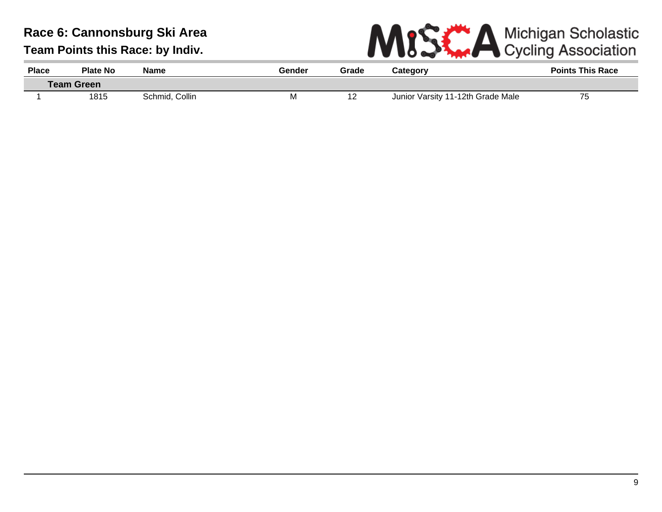

| <b>Place</b> | Plate No          | <b>Name</b>    | Gender | Grade | Category                          | <b>Points This Race</b> |
|--------------|-------------------|----------------|--------|-------|-----------------------------------|-------------------------|
|              | <b>Team Green</b> |                |        |       |                                   |                         |
|              | 1815              | Schmid, Collin | M      | 12    | Junior Varsity 11-12th Grade Male | 75                      |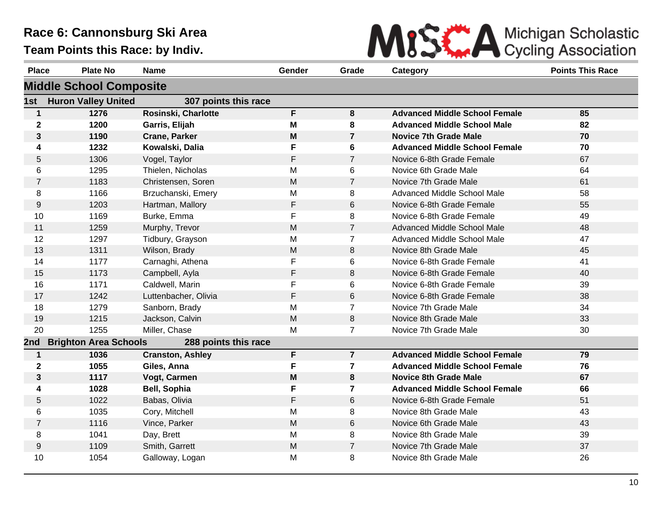

| <b>Place</b>            | <b>Plate No</b>                | <b>Name</b>             | Gender | Grade                   | Category                             | <b>Points This Race</b> |
|-------------------------|--------------------------------|-------------------------|--------|-------------------------|--------------------------------------|-------------------------|
|                         | <b>Middle School Composite</b> |                         |        |                         |                                      |                         |
| 1st                     | <b>Huron Valley United</b>     | 307 points this race    |        |                         |                                      |                         |
| 1                       | 1276                           | Rosinski, Charlotte     | F.     | 8                       | <b>Advanced Middle School Female</b> | 85                      |
| $\mathbf 2$             | 1200                           | Garris, Elijah          | M      | 8                       | <b>Advanced Middle School Male</b>   | 82                      |
| 3                       | 1190                           | <b>Crane, Parker</b>    | M      | $\overline{7}$          | <b>Novice 7th Grade Male</b>         | 70                      |
| $\overline{\mathbf{4}}$ | 1232                           | Kowalski, Dalia         | F      | 6                       | <b>Advanced Middle School Female</b> | 70                      |
| 5                       | 1306                           | Vogel, Taylor           | F      | $\overline{7}$          | Novice 6-8th Grade Female            | 67                      |
| 6                       | 1295                           | Thielen, Nicholas       | M      | 6                       | Novice 6th Grade Male                | 64                      |
| $\overline{7}$          | 1183                           | Christensen, Soren      | M      | $\overline{7}$          | Novice 7th Grade Male                | 61                      |
| 8                       | 1166                           | Brzuchanski, Emery      | M      | 8                       | Advanced Middle School Male          | 58                      |
| 9                       | 1203                           | Hartman, Mallory        | F      | 6                       | Novice 6-8th Grade Female            | 55                      |
| 10                      | 1169                           | Burke, Emma             | F      | 8                       | Novice 6-8th Grade Female            | 49                      |
| 11                      | 1259                           | Murphy, Trevor          | M      | $\overline{7}$          | Advanced Middle School Male          | 48                      |
| 12                      | 1297                           | Tidbury, Grayson        | M      | $\overline{7}$          | Advanced Middle School Male          | 47                      |
| 13                      | 1311                           | Wilson, Brady           | M      | 8                       | Novice 8th Grade Male                | 45                      |
| 14                      | 1177                           | Carnaghi, Athena        | F      | 6                       | Novice 6-8th Grade Female            | 41                      |
| 15                      | 1173                           | Campbell, Ayla          | F      | 8                       | Novice 6-8th Grade Female            | 40                      |
| 16                      | 1171                           | Caldwell, Marin         | F      | 6                       | Novice 6-8th Grade Female            | 39                      |
| 17                      | 1242                           | Luttenbacher, Olivia    | F      | 6                       | Novice 6-8th Grade Female            | 38                      |
| 18                      | 1279                           | Sanborn, Brady          | M      | $\overline{7}$          | Novice 7th Grade Male                | 34                      |
| 19                      | 1215                           | Jackson, Calvin         | M      | 8                       | Novice 8th Grade Male                | 33                      |
| 20                      | 1255                           | Miller, Chase           | M      | $\overline{7}$          | Novice 7th Grade Male                | 30                      |
| 2nd                     | <b>Brighton Area Schools</b>   | 288 points this race    |        |                         |                                      |                         |
| $\mathbf 1$             | 1036                           | <b>Cranston, Ashley</b> | F      | $\overline{7}$          | <b>Advanced Middle School Female</b> | 79                      |
| $\mathbf{2}$            | 1055                           | Giles, Anna             | F      | $\overline{\mathbf{r}}$ | <b>Advanced Middle School Female</b> | 76                      |
| $\mathbf{3}$            | 1117                           | Vogt, Carmen            | M      | 8                       | <b>Novice 8th Grade Male</b>         | 67                      |
| $\overline{\mathbf{4}}$ | 1028                           | Bell, Sophia            | F      | $\overline{7}$          | <b>Advanced Middle School Female</b> | 66                      |
| 5                       | 1022                           | Babas, Olivia           | F      | 6                       | Novice 6-8th Grade Female            | 51                      |
| 6                       | 1035                           | Cory, Mitchell          | M      | 8                       | Novice 8th Grade Male                | 43                      |
| $\overline{7}$          | 1116                           | Vince, Parker           | M      | 6                       | Novice 6th Grade Male                | 43                      |
| 8                       | 1041                           | Day, Brett              | M      | 8                       | Novice 8th Grade Male                | 39                      |
| 9                       | 1109                           | Smith, Garrett          | M      | $\overline{7}$          | Novice 7th Grade Male                | 37                      |
| 10                      | 1054                           | Galloway, Logan         | M      | 8                       | Novice 8th Grade Male                | 26                      |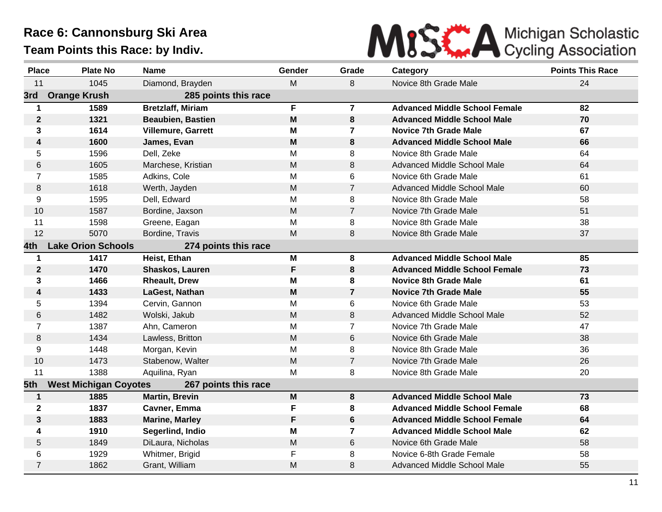

| <b>Place</b>     | <b>Plate No</b>              | <b>Name</b>               | Gender    | Grade          | Category                             | <b>Points This Race</b> |
|------------------|------------------------------|---------------------------|-----------|----------------|--------------------------------------|-------------------------|
| 11               | 1045                         | Diamond, Brayden          | M         | 8              | Novice 8th Grade Male                | 24                      |
| 3rd              | <b>Orange Krush</b>          | 285 points this race      |           |                |                                      |                         |
| $\mathbf 1$      | 1589                         | <b>Bretzlaff, Miriam</b>  | F.        | $\overline{7}$ | <b>Advanced Middle School Female</b> | 82                      |
| $\boldsymbol{2}$ | 1321                         | <b>Beaubien, Bastien</b>  | M         | 8              | <b>Advanced Middle School Male</b>   | 70                      |
| 3                | 1614                         | <b>Villemure, Garrett</b> | М         | $\mathbf{7}$   | Novice 7th Grade Male                | 67                      |
| 4                | 1600                         | James, Evan               | M         | 8              | <b>Advanced Middle School Male</b>   | 66                      |
| 5                | 1596                         | Dell, Zeke                | M         | 8              | Novice 8th Grade Male                | 64                      |
| 6                | 1605                         | Marchese, Kristian        | M         | 8              | <b>Advanced Middle School Male</b>   | 64                      |
| $\overline{7}$   | 1585                         | Adkins, Cole              | M         | 6              | Novice 6th Grade Male                | 61                      |
| 8                | 1618                         | Werth, Jayden             | ${\sf M}$ | $\overline{7}$ | Advanced Middle School Male          | 60                      |
| 9                | 1595                         | Dell, Edward              | M         | 8              | Novice 8th Grade Male                | 58                      |
| 10               | 1587                         | Bordine, Jaxson           | M         | $\overline{7}$ | Novice 7th Grade Male                | 51                      |
| 11               | 1598                         | Greene, Eagan             | M         | 8              | Novice 8th Grade Male                | 38                      |
| 12               | 5070                         | Bordine, Travis           | M         | 8              | Novice 8th Grade Male                | 37                      |
| 4th.             | <b>Lake Orion Schools</b>    | 274 points this race      |           |                |                                      |                         |
| $\mathbf 1$      | 1417                         | Heist, Ethan              | M         | 8              | <b>Advanced Middle School Male</b>   | 85                      |
| $\mathbf{2}$     | 1470                         | Shaskos, Lauren           | F         | 8              | <b>Advanced Middle School Female</b> | 73                      |
| 3                | 1466                         | <b>Rheault, Drew</b>      | M         | 8              | <b>Novice 8th Grade Male</b>         | 61                      |
| 4                | 1433                         | LaGest, Nathan            | M         | $\overline{7}$ | <b>Novice 7th Grade Male</b>         | 55                      |
| 5                | 1394                         | Cervin, Gannon            | M         | 6              | Novice 6th Grade Male                | 53                      |
| 6                | 1482                         | Wolski, Jakub             | M         | 8              | Advanced Middle School Male          | 52                      |
| $\overline{7}$   | 1387                         | Ahn, Cameron              | M         | $\overline{7}$ | Novice 7th Grade Male                | 47                      |
| 8                | 1434                         | Lawless, Britton          | M         | 6              | Novice 6th Grade Male                | 38                      |
| 9                | 1448                         | Morgan, Kevin             | M         | 8              | Novice 8th Grade Male                | 36                      |
| 10               | 1473                         | Stabenow, Walter          | M         | $\overline{7}$ | Novice 7th Grade Male                | 26                      |
| 11               | 1388                         | Aquilina, Ryan            | M         | 8              | Novice 8th Grade Male                | 20                      |
| 5th              | <b>West Michigan Coyotes</b> | 267 points this race      |           |                |                                      |                         |
| 1                | 1885                         | <b>Martin, Brevin</b>     | M         | 8              | <b>Advanced Middle School Male</b>   | 73                      |
| $\mathbf{2}$     | 1837                         | Cavner, Emma              | F         | 8              | <b>Advanced Middle School Female</b> | 68                      |
| $\mathbf{3}$     | 1883                         | <b>Marine, Marley</b>     | F         | 6              | <b>Advanced Middle School Female</b> | 64                      |
| 4                | 1910                         | Segerlind, Indio          | M         | $\mathbf{7}$   | <b>Advanced Middle School Male</b>   | 62                      |
| 5                | 1849                         | DiLaura, Nicholas         | M         | 6              | Novice 6th Grade Male                | 58                      |
| 6                | 1929                         | Whitmer, Brigid           | F         | 8              | Novice 6-8th Grade Female            | 58                      |
| $\overline{7}$   | 1862                         | Grant, William            | M         | 8              | Advanced Middle School Male          | 55                      |
|                  |                              |                           |           |                |                                      |                         |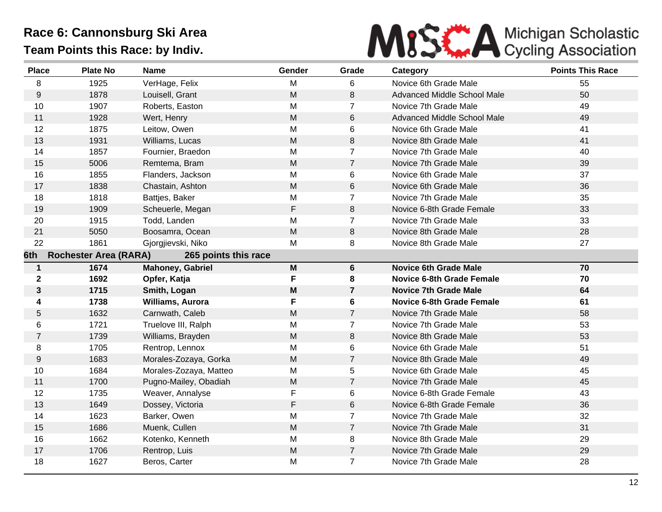

| <b>Place</b>                                                | <b>Plate No</b> | <b>Name</b>            | Gender      | Grade          | Category                         | <b>Points This Race</b> |  |
|-------------------------------------------------------------|-----------------|------------------------|-------------|----------------|----------------------------------|-------------------------|--|
| 8                                                           | 1925            | VerHage, Felix         | M           | 6              | Novice 6th Grade Male            | 55                      |  |
| 9                                                           | 1878            | Louisell, Grant        | M           | 8              | Advanced Middle School Male      | 50                      |  |
| 10                                                          | 1907            | Roberts, Easton        | M           | $\overline{7}$ | Novice 7th Grade Male            | 49                      |  |
| 11                                                          | 1928            | Wert, Henry            | ${\sf M}$   | 6              | Advanced Middle School Male      | 49                      |  |
| 12                                                          | 1875            | Leitow, Owen           | M           | 6              | Novice 6th Grade Male            | 41                      |  |
| 13                                                          | 1931            | Williams, Lucas        | M           | 8              | Novice 8th Grade Male            | 41                      |  |
| 14                                                          | 1857            | Fournier, Braedon      | M           | $\overline{7}$ | Novice 7th Grade Male            | 40                      |  |
| 15                                                          | 5006            | Remtema, Bram          | M           | $\overline{7}$ | Novice 7th Grade Male            | 39                      |  |
| 16                                                          | 1855            | Flanders, Jackson      | M           | 6              | Novice 6th Grade Male            | 37                      |  |
| 17                                                          | 1838            | Chastain, Ashton       | M           | 6              | Novice 6th Grade Male            | 36                      |  |
| 18                                                          | 1818            | Battjes, Baker         | M           | $\overline{7}$ | Novice 7th Grade Male            | 35                      |  |
| 19                                                          | 1909            | Scheuerle, Megan       | $\mathsf F$ | 8              | Novice 6-8th Grade Female        | 33                      |  |
| 20                                                          | 1915            | Todd, Landen           | M           | $\overline{7}$ | Novice 7th Grade Male            | 33                      |  |
| 21                                                          | 5050            | Boosamra, Ocean        | M           | 8              | Novice 8th Grade Male            | 28                      |  |
| 22                                                          | 1861            | Gjorgjievski, Niko     | М           | 8              | Novice 8th Grade Male            | 27                      |  |
| <b>Rochester Area (RARA)</b><br>265 points this race<br>6th |                 |                        |             |                |                                  |                         |  |
| $\mathbf 1$                                                 | 1674            | Mahoney, Gabriel       | M           | 6              | <b>Novice 6th Grade Male</b>     | 70                      |  |
| $\mathbf{2}$                                                | 1692            | Opfer, Katja           | F           | 8              | <b>Novice 6-8th Grade Female</b> | 70                      |  |
| $\mathbf{3}$                                                | 1715            | Smith, Logan           | M           | $\overline{7}$ | <b>Novice 7th Grade Male</b>     | 64                      |  |
| 4                                                           | 1738            | Williams, Aurora       | F           | 6              | <b>Novice 6-8th Grade Female</b> | 61                      |  |
| 5                                                           | 1632            | Carnwath, Caleb        | M           | $\overline{7}$ | Novice 7th Grade Male            | 58                      |  |
| 6                                                           | 1721            | Truelove III, Ralph    | M           | $\overline{7}$ | Novice 7th Grade Male            | 53                      |  |
| $\overline{7}$                                              | 1739            | Williams, Brayden      | M           | 8              | Novice 8th Grade Male            | 53                      |  |
| 8                                                           | 1705            | Rentrop, Lennox        | M           | 6              | Novice 6th Grade Male            | 51                      |  |
| $\boldsymbol{9}$                                            | 1683            | Morales-Zozaya, Gorka  | M           | $\overline{7}$ | Novice 8th Grade Male            | 49                      |  |
| 10                                                          | 1684            | Morales-Zozaya, Matteo | M           | 5              | Novice 6th Grade Male            | 45                      |  |
| 11                                                          | 1700            | Pugno-Mailey, Obadiah  | M           | $\overline{7}$ | Novice 7th Grade Male            | 45                      |  |
| 12                                                          | 1735            | Weaver, Annalyse       | $\mathsf F$ | 6              | Novice 6-8th Grade Female        | 43                      |  |
| 13                                                          | 1649            | Dossey, Victoria       | $\mathsf F$ | 6              | Novice 6-8th Grade Female        | 36                      |  |
| 14                                                          | 1623            | Barker, Owen           | M           | $\overline{7}$ | Novice 7th Grade Male            | 32                      |  |
| 15                                                          | 1686            | Muenk, Cullen          | M           | $\overline{7}$ | Novice 7th Grade Male            | 31                      |  |
| 16                                                          | 1662            | Kotenko, Kenneth       | M           | 8              | Novice 8th Grade Male            | 29                      |  |
| 17                                                          | 1706            | Rentrop, Luis          | M           | $\overline{7}$ | Novice 7th Grade Male            | 29                      |  |
| 18                                                          | 1627            | Beros, Carter          | M           | $\overline{7}$ | Novice 7th Grade Male            | 28                      |  |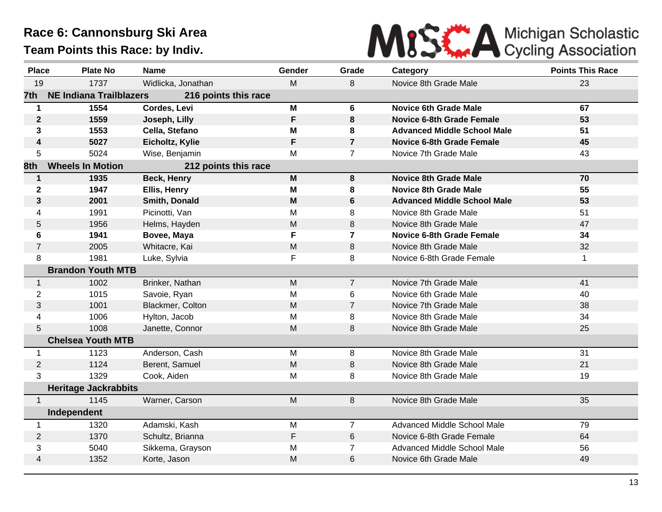

| <b>Place</b>     | <b>Plate No</b>                | <b>Name</b>          | Gender                                                                                | Grade          | Category                           | <b>Points This Race</b> |
|------------------|--------------------------------|----------------------|---------------------------------------------------------------------------------------|----------------|------------------------------------|-------------------------|
| 19               | 1737                           | Widlicka, Jonathan   | M                                                                                     | 8              | Novice 8th Grade Male              | 23                      |
| 7th              | <b>NE Indiana Trailblazers</b> | 216 points this race |                                                                                       |                |                                    |                         |
| $\mathbf 1$      | 1554                           | Cordes, Levi         | M                                                                                     | 6              | <b>Novice 6th Grade Male</b>       | 67                      |
| $\boldsymbol{2}$ | 1559                           | Joseph, Lilly        | $\mathsf{F}$                                                                          | 8              | <b>Novice 6-8th Grade Female</b>   | 53                      |
| $\mathbf{3}$     | 1553                           | Cella, Stefano       | M                                                                                     | 8              | <b>Advanced Middle School Male</b> | 51                      |
| 4                | 5027                           | Eicholtz, Kylie      | F                                                                                     | $\overline{7}$ | <b>Novice 6-8th Grade Female</b>   | 45                      |
| 5                | 5024                           | Wise, Benjamin       | M                                                                                     | $\overline{7}$ | Novice 7th Grade Male              | 43                      |
| 8th              | <b>Wheels In Motion</b>        | 212 points this race |                                                                                       |                |                                    |                         |
| $\mathbf{1}$     | 1935                           | <b>Beck, Henry</b>   | $\mathsf{M}% _{T}=\mathsf{M}_{T}\!\left( a,b\right) ,\ \mathsf{M}_{T}=\mathsf{M}_{T}$ | 8              | <b>Novice 8th Grade Male</b>       | 70                      |
| $\mathbf 2$      | 1947                           | Ellis, Henry         | M                                                                                     | 8              | <b>Novice 8th Grade Male</b>       | 55                      |
| $\mathbf{3}$     | 2001                           | Smith, Donald        | M                                                                                     | 6              | <b>Advanced Middle School Male</b> | 53                      |
| 4                | 1991                           | Picinotti, Van       | M                                                                                     | 8              | Novice 8th Grade Male              | 51                      |
| 5                | 1956                           | Helms, Hayden        | M                                                                                     | 8              | Novice 8th Grade Male              | 47                      |
| 6                | 1941                           | Bovee, Maya          | F                                                                                     | $\overline{7}$ | <b>Novice 6-8th Grade Female</b>   | 34                      |
| $\overline{7}$   | 2005                           | Whitacre, Kai        | M                                                                                     | 8              | Novice 8th Grade Male              | 32                      |
| 8                | 1981                           | Luke, Sylvia         | F                                                                                     | 8              | Novice 6-8th Grade Female          | 1                       |
|                  | <b>Brandon Youth MTB</b>       |                      |                                                                                       |                |                                    |                         |
| $\mathbf{1}$     | 1002                           | Brinker, Nathan      | M                                                                                     | $\overline{7}$ | Novice 7th Grade Male              | 41                      |
| $\overline{2}$   | 1015                           | Savoie, Ryan         | M                                                                                     | 6              | Novice 6th Grade Male              | 40                      |
| 3                | 1001                           | Blackmer, Colton     | M                                                                                     | $\overline{7}$ | Novice 7th Grade Male              | 38                      |
| 4                | 1006                           | Hylton, Jacob        | M                                                                                     | 8              | Novice 8th Grade Male              | 34                      |
| 5                | 1008                           | Janette, Connor      | M                                                                                     | 8              | Novice 8th Grade Male              | 25                      |
|                  | <b>Chelsea Youth MTB</b>       |                      |                                                                                       |                |                                    |                         |
| 1                | 1123                           | Anderson, Cash       | M                                                                                     | 8              | Novice 8th Grade Male              | 31                      |
| $\overline{2}$   | 1124                           | Berent, Samuel       | M                                                                                     | 8              | Novice 8th Grade Male              | 21                      |
| 3                | 1329                           | Cook, Aiden          | M                                                                                     | 8              | Novice 8th Grade Male              | 19                      |
|                  | <b>Heritage Jackrabbits</b>    |                      |                                                                                       |                |                                    |                         |
| $\mathbf{1}$     | 1145                           | Warner, Carson       | M                                                                                     | 8              | Novice 8th Grade Male              | 35                      |
|                  | Independent                    |                      |                                                                                       |                |                                    |                         |
| $\mathbf 1$      | 1320                           | Adamski, Kash        | M                                                                                     | $\overline{7}$ | Advanced Middle School Male        | 79                      |
| $\overline{2}$   | 1370                           | Schultz, Brianna     | F                                                                                     | 6              | Novice 6-8th Grade Female          | 64                      |
| 3                | 5040                           | Sikkema, Grayson     | M                                                                                     | $\overline{7}$ | Advanced Middle School Male        | 56                      |
| 4                | 1352                           | Korte, Jason         | M                                                                                     | 6              | Novice 6th Grade Male              | 49                      |
|                  |                                |                      |                                                                                       |                |                                    |                         |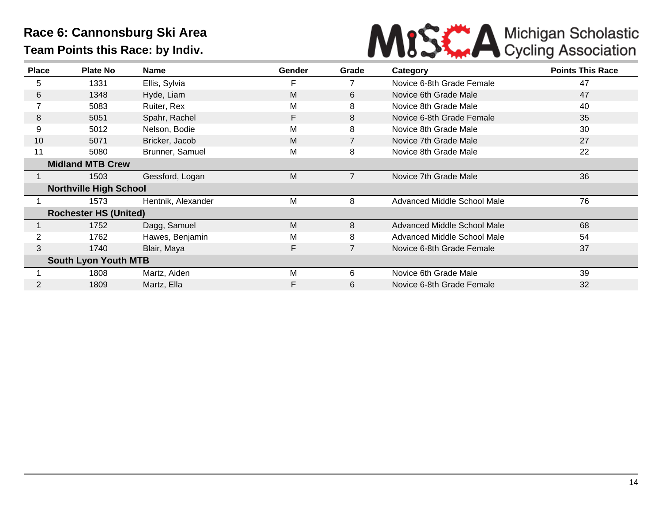

| <b>Place</b>   | <b>Plate No</b>               | Name               | Gender | Grade          | Category                    | <b>Points This Race</b> |
|----------------|-------------------------------|--------------------|--------|----------------|-----------------------------|-------------------------|
| 5              | 1331                          | Ellis, Sylvia      | F      | 7              | Novice 6-8th Grade Female   | 47                      |
| 6              | 1348                          | Hyde, Liam         | M      | 6              | Novice 6th Grade Male       | 47                      |
|                | 5083                          | Ruiter, Rex        | M      | 8              | Novice 8th Grade Male       | 40                      |
| 8              | 5051                          | Spahr, Rachel      | F      | 8              | Novice 6-8th Grade Female   | 35                      |
| 9              | 5012                          | Nelson, Bodie      | M      | 8              | Novice 8th Grade Male       | 30                      |
| 10             | 5071                          | Bricker, Jacob     | M      |                | Novice 7th Grade Male       | 27                      |
| 11             | 5080                          | Brunner, Samuel    | M      | 8              | Novice 8th Grade Male       | 22                      |
|                | <b>Midland MTB Crew</b>       |                    |        |                |                             |                         |
|                | 1503                          | Gessford, Logan    | M      | 7              | Novice 7th Grade Male       | 36                      |
|                | <b>Northville High School</b> |                    |        |                |                             |                         |
|                | 1573                          | Hentnik, Alexander | M      | 8              | Advanced Middle School Male | 76                      |
|                | <b>Rochester HS (United)</b>  |                    |        |                |                             |                         |
|                | 1752                          | Dagg, Samuel       | M      | 8              | Advanced Middle School Male | 68                      |
| $\overline{2}$ | 1762                          | Hawes, Benjamin    | M      | 8              | Advanced Middle School Male | 54                      |
| 3              | 1740                          | Blair, Maya        | F      | $\overline{7}$ | Novice 6-8th Grade Female   | 37                      |
|                | <b>South Lyon Youth MTB</b>   |                    |        |                |                             |                         |
|                | 1808                          | Martz, Aiden       | M      | 6              | Novice 6th Grade Male       | 39                      |
|                | 1809                          | Martz, Ella        | F      | 6              | Novice 6-8th Grade Female   | 32                      |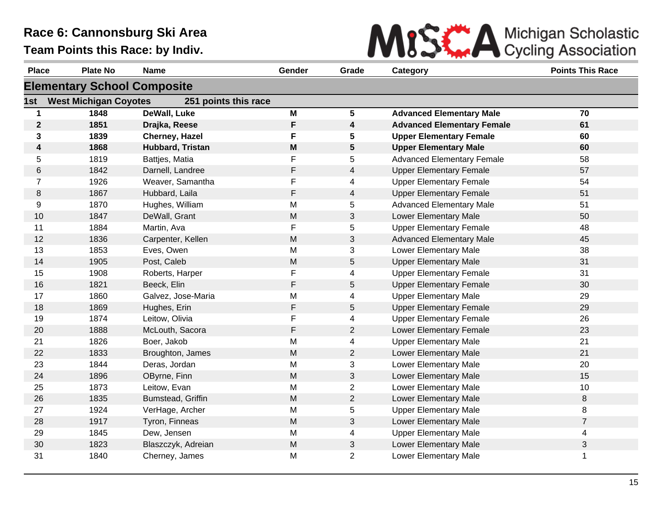

| <b>Place</b>   | <b>Plate No</b>                    | <b>Name</b>          | Gender    | Grade                   | Category                          | <b>Points This Race</b> |  |  |  |
|----------------|------------------------------------|----------------------|-----------|-------------------------|-----------------------------------|-------------------------|--|--|--|
|                | <b>Elementary School Composite</b> |                      |           |                         |                                   |                         |  |  |  |
| 1st            | <b>West Michigan Coyotes</b>       | 251 points this race |           |                         |                                   |                         |  |  |  |
| $\mathbf 1$    | 1848                               | DeWall, Luke         | M         | $5\phantom{.0}$         | <b>Advanced Elementary Male</b>   | 70                      |  |  |  |
| $\mathbf{2}$   | 1851                               | Drajka, Reese        | F         | $\overline{\mathbf{4}}$ | <b>Advanced Elementary Female</b> | 61                      |  |  |  |
| $\mathbf{3}$   | 1839                               | Cherney, Hazel       | F         | 5                       | <b>Upper Elementary Female</b>    | 60                      |  |  |  |
| 4              | 1868                               | Hubbard, Tristan     | M         | $5\phantom{.0}$         | <b>Upper Elementary Male</b>      | 60                      |  |  |  |
| 5              | 1819                               | Battjes, Matia       | F         | 5                       | <b>Advanced Elementary Female</b> | 58                      |  |  |  |
| 6              | 1842                               | Darnell, Landree     | F         | $\overline{4}$          | <b>Upper Elementary Female</b>    | 57                      |  |  |  |
| $\overline{7}$ | 1926                               | Weaver, Samantha     | F         | 4                       | <b>Upper Elementary Female</b>    | 54                      |  |  |  |
| 8              | 1867                               | Hubbard, Laila       | F         | $\overline{4}$          | <b>Upper Elementary Female</b>    | 51                      |  |  |  |
| 9              | 1870                               | Hughes, William      | M         | 5                       | <b>Advanced Elementary Male</b>   | 51                      |  |  |  |
| 10             | 1847                               | DeWall, Grant        | M         | 3                       | Lower Elementary Male             | 50                      |  |  |  |
| 11             | 1884                               | Martin, Ava          | F         | 5                       | <b>Upper Elementary Female</b>    | 48                      |  |  |  |
| 12             | 1836                               | Carpenter, Kellen    | ${\sf M}$ | $\mathfrak{S}$          | <b>Advanced Elementary Male</b>   | 45                      |  |  |  |
| 13             | 1853                               | Eves, Owen           | M         | 3                       | <b>Lower Elementary Male</b>      | 38                      |  |  |  |
| 14             | 1905                               | Post, Caleb          | M         | 5                       | <b>Upper Elementary Male</b>      | 31                      |  |  |  |
| 15             | 1908                               | Roberts, Harper      | F         | 4                       | <b>Upper Elementary Female</b>    | 31                      |  |  |  |
| 16             | 1821                               | Beeck, Elin          | F         | 5                       | <b>Upper Elementary Female</b>    | 30                      |  |  |  |
| 17             | 1860                               | Galvez, Jose-Maria   | M         | 4                       | <b>Upper Elementary Male</b>      | 29                      |  |  |  |
| 18             | 1869                               | Hughes, Erin         | F         | 5                       | <b>Upper Elementary Female</b>    | 29                      |  |  |  |
| 19             | 1874                               | Leitow, Olivia       | F         | 4                       | <b>Upper Elementary Female</b>    | 26                      |  |  |  |
| 20             | 1888                               | McLouth, Sacora      | F         | $\overline{2}$          | <b>Lower Elementary Female</b>    | 23                      |  |  |  |
| 21             | 1826                               | Boer, Jakob          | M         | 4                       | <b>Upper Elementary Male</b>      | 21                      |  |  |  |
| 22             | 1833                               | Broughton, James     | M         | $\overline{2}$          | Lower Elementary Male             | 21                      |  |  |  |
| 23             | 1844                               | Deras, Jordan        | M         | 3                       | Lower Elementary Male             | 20                      |  |  |  |
| 24             | 1896                               | OByrne, Finn         | M         | 3                       | Lower Elementary Male             | 15                      |  |  |  |
| 25             | 1873                               | Leitow, Evan         | M         | $\overline{2}$          | Lower Elementary Male             | 10                      |  |  |  |
| 26             | 1835                               | Bumstead, Griffin    | ${\sf M}$ | $\overline{2}$          | Lower Elementary Male             | 8                       |  |  |  |
| 27             | 1924                               | VerHage, Archer      | M         | 5                       | <b>Upper Elementary Male</b>      | 8                       |  |  |  |
| 28             | 1917                               | Tyron, Finneas       | M         | 3                       | Lower Elementary Male             | $\overline{7}$          |  |  |  |
| 29             | 1845                               | Dew, Jensen          | M         | 4                       | <b>Upper Elementary Male</b>      | 4                       |  |  |  |
| 30             | 1823                               | Blaszczyk, Adreian   | M         | 3                       | Lower Elementary Male             | $\sqrt{3}$              |  |  |  |
| 31             | 1840                               | Cherney, James       | M         | $\overline{2}$          | Lower Elementary Male             | 1                       |  |  |  |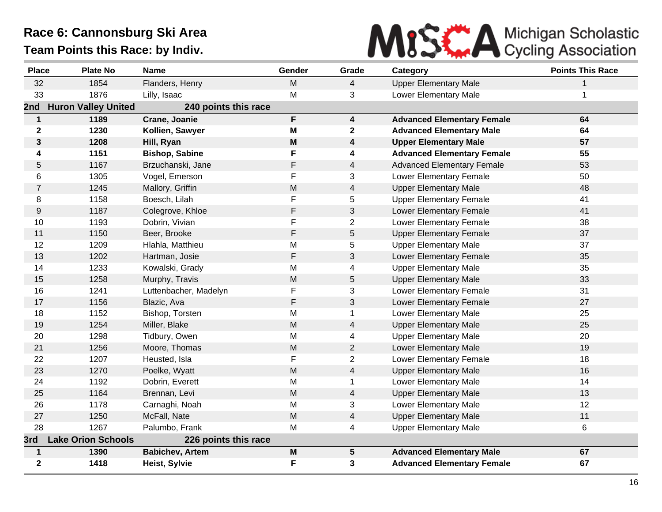

| <b>Place</b>   | <b>Plate No</b>            | <b>Name</b>            | Gender      | Grade                   | Category                          | <b>Points This Race</b> |
|----------------|----------------------------|------------------------|-------------|-------------------------|-----------------------------------|-------------------------|
| 32             | 1854                       | Flanders, Henry        | M           | $\overline{4}$          | <b>Upper Elementary Male</b>      | 1                       |
| 33             | 1876                       | Lilly, Isaac           | M           | 3                       | Lower Elementary Male             | 1                       |
| 2nd            | <b>Huron Valley United</b> | 240 points this race   |             |                         |                                   |                         |
| $\mathbf 1$    | 1189                       | Crane, Joanie          | F           | $\overline{\mathbf{4}}$ | <b>Advanced Elementary Female</b> | 64                      |
| $\mathbf{2}$   | 1230                       | Kollien, Sawyer        | M           | $\mathbf{2}$            | <b>Advanced Elementary Male</b>   | 64                      |
| $\mathbf{3}$   | 1208                       | Hill, Ryan             | M           | 4                       | <b>Upper Elementary Male</b>      | 57                      |
| 4              | 1151                       | <b>Bishop, Sabine</b>  | F           | 4                       | <b>Advanced Elementary Female</b> | 55                      |
| 5              | 1167                       | Brzuchanski, Jane      | $\mathsf F$ | 4                       | <b>Advanced Elementary Female</b> | 53                      |
| 6              | 1305                       | Vogel, Emerson         | F           | 3                       | <b>Lower Elementary Female</b>    | 50                      |
| $\overline{7}$ | 1245                       | Mallory, Griffin       | M           | $\overline{4}$          | <b>Upper Elementary Male</b>      | 48                      |
| 8              | 1158                       | Boesch, Lilah          | F           | 5                       | <b>Upper Elementary Female</b>    | 41                      |
| 9              | 1187                       | Colegrove, Khloe       | F           | 3                       | <b>Lower Elementary Female</b>    | 41                      |
| 10             | 1193                       | Dobrin, Vivian         | F           | $\overline{2}$          | <b>Lower Elementary Female</b>    | 38                      |
| 11             | 1150                       | Beer, Brooke           | F           | 5                       | <b>Upper Elementary Female</b>    | 37                      |
| 12             | 1209                       | Hlahla, Matthieu       | M           | 5                       | <b>Upper Elementary Male</b>      | 37                      |
| 13             | 1202                       | Hartman, Josie         | F           | 3                       | Lower Elementary Female           | 35                      |
| 14             | 1233                       | Kowalski, Grady        | M           | 4                       | <b>Upper Elementary Male</b>      | 35                      |
| 15             | 1258                       | Murphy, Travis         | M           | 5                       | <b>Upper Elementary Male</b>      | 33                      |
| 16             | 1241                       | Luttenbacher, Madelyn  | F           | 3                       | <b>Lower Elementary Female</b>    | 31                      |
| 17             | 1156                       | Blazic, Ava            | F           | 3                       | Lower Elementary Female           | 27                      |
| 18             | 1152                       | Bishop, Torsten        | M           | $\mathbf{1}$            | Lower Elementary Male             | 25                      |
| 19             | 1254                       | Miller, Blake          | M           | 4                       | <b>Upper Elementary Male</b>      | 25                      |
| 20             | 1298                       | Tidbury, Owen          | M           | 4                       | <b>Upper Elementary Male</b>      | 20                      |
| 21             | 1256                       | Moore, Thomas          | ${\sf M}$   | $\overline{c}$          | Lower Elementary Male             | 19                      |
| 22             | 1207                       | Heusted, Isla          | F           | $\overline{c}$          | Lower Elementary Female           | 18                      |
| 23             | 1270                       | Poelke, Wyatt          | M           | 4                       | <b>Upper Elementary Male</b>      | 16                      |
| 24             | 1192                       | Dobrin, Everett        | M           | $\mathbf{1}$            | Lower Elementary Male             | 14                      |
| 25             | 1164                       | Brennan, Levi          | ${\sf M}$   | 4                       | <b>Upper Elementary Male</b>      | 13                      |
| 26             | 1178                       | Carnaghi, Noah         | M           | 3                       | Lower Elementary Male             | 12                      |
| 27             | 1250                       | McFall, Nate           | ${\sf M}$   | $\overline{4}$          | <b>Upper Elementary Male</b>      | 11                      |
| 28             | 1267                       | Palumbo, Frank         | M           | 4                       | <b>Upper Elementary Male</b>      | 6                       |
| 3rd            | <b>Lake Orion Schools</b>  | 226 points this race   |             |                         |                                   |                         |
| $\mathbf{1}$   | 1390                       | <b>Babichev, Artem</b> | M           | 5                       | <b>Advanced Elementary Male</b>   | 67                      |
| $\mathbf{2}$   | 1418                       | Heist, Sylvie          | F           | 3                       | <b>Advanced Elementary Female</b> | 67                      |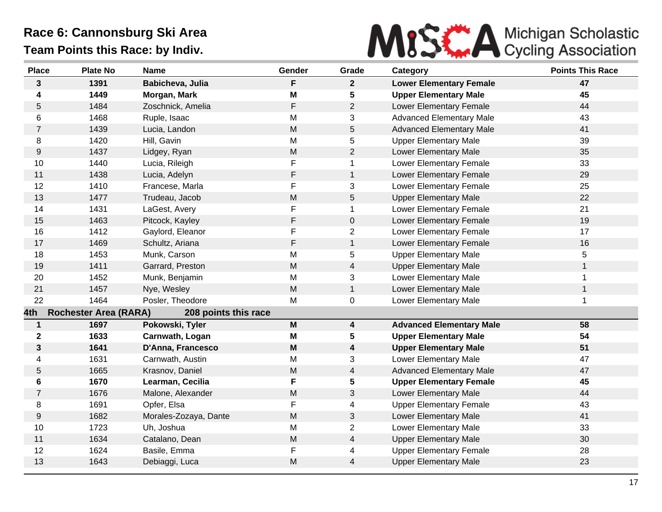

| <b>Place</b>   | <b>Plate No</b>              | <b>Name</b>           | Gender                    | Grade          | Category                        | <b>Points This Race</b> |
|----------------|------------------------------|-----------------------|---------------------------|----------------|---------------------------------|-------------------------|
| $\mathbf{3}$   | 1391                         | Babicheva, Julia      | F                         | $\mathbf{2}$   | <b>Lower Elementary Female</b>  | 47                      |
| 4              | 1449                         | Morgan, Mark          | M                         | 5              | <b>Upper Elementary Male</b>    | 45                      |
| 5              | 1484                         | Zoschnick, Amelia     | F                         | $\overline{2}$ | <b>Lower Elementary Female</b>  | 44                      |
| 6              | 1468                         | Ruple, Isaac          | M                         | 3              | <b>Advanced Elementary Male</b> | 43                      |
| $\overline{7}$ | 1439                         | Lucia, Landon         | M                         | 5              | <b>Advanced Elementary Male</b> | 41                      |
| 8              | 1420                         | Hill, Gavin           | M                         | 5              | <b>Upper Elementary Male</b>    | 39                      |
| 9              | 1437                         | Lidgey, Ryan          | ${\sf M}$                 | $\overline{2}$ | Lower Elementary Male           | 35                      |
| 10             | 1440                         | Lucia, Rileigh        | F                         | $\mathbf 1$    | Lower Elementary Female         | 33                      |
| 11             | 1438                         | Lucia, Adelyn         | F                         | $\mathbf{1}$   | <b>Lower Elementary Female</b>  | 29                      |
| 12             | 1410                         | Francese, Marla       | F                         | 3              | Lower Elementary Female         | 25                      |
| 13             | 1477                         | Trudeau, Jacob        | M                         | 5              | <b>Upper Elementary Male</b>    | 22                      |
| 14             | 1431                         | LaGest, Avery         | F                         | $\mathbf 1$    | Lower Elementary Female         | 21                      |
| 15             | 1463                         | Pitcock, Kayley       | F                         | 0              | Lower Elementary Female         | 19                      |
| 16             | 1412                         | Gaylord, Eleanor      | F                         | $\overline{2}$ | Lower Elementary Female         | 17                      |
| 17             | 1469                         | Schultz, Ariana       | F                         | $\mathbf{1}$   | Lower Elementary Female         | 16                      |
| 18             | 1453                         | Munk, Carson          | M                         | 5              | <b>Upper Elementary Male</b>    | 5                       |
| 19             | 1411                         | Garrard, Preston      | M                         | 4              | <b>Upper Elementary Male</b>    | 1                       |
| 20             | 1452                         | Munk, Benjamin        | M                         | 3              | Lower Elementary Male           | $\mathbf 1$             |
| 21             | 1457                         | Nye, Wesley           | M                         | $\mathbf{1}$   | Lower Elementary Male           | $\mathbf{1}$            |
| 22             | 1464                         | Posler, Theodore      | M                         | 0              | Lower Elementary Male           | $\mathbf 1$             |
| 4th            | <b>Rochester Area (RARA)</b> | 208 points this race  |                           |                |                                 |                         |
| $\mathbf 1$    | 1697                         | Pokowski, Tyler       | $\boldsymbol{\mathsf{M}}$ | 4              | <b>Advanced Elementary Male</b> | 58                      |
| $\mathbf 2$    | 1633                         | Carnwath, Logan       | Μ                         | 5              | <b>Upper Elementary Male</b>    | 54                      |
| $\mathbf{3}$   | 1641                         | D'Anna, Francesco     | M                         | 4              | <b>Upper Elementary Male</b>    | 51                      |
| 4              | 1631                         | Carnwath, Austin      | M                         | 3              | Lower Elementary Male           | 47                      |
| 5              | 1665                         | Krasnov, Daniel       | M                         | 4              | <b>Advanced Elementary Male</b> | 47                      |
| 6              | 1670                         | Learman, Cecilia      | F                         | 5              | <b>Upper Elementary Female</b>  | 45                      |
| $\overline{7}$ | 1676                         | Malone, Alexander     | ${\sf M}$                 | 3              | Lower Elementary Male           | 44                      |
| 8              | 1691                         | Opfer, Elsa           | F                         | 4              | <b>Upper Elementary Female</b>  | 43                      |
| 9              | 1682                         | Morales-Zozaya, Dante | M                         | 3              | Lower Elementary Male           | 41                      |
| 10             | 1723                         | Uh, Joshua            | M                         | $\overline{c}$ | Lower Elementary Male           | 33                      |
| 11             | 1634                         | Catalano, Dean        | M                         | $\overline{4}$ | <b>Upper Elementary Male</b>    | 30                      |
| 12             | 1624                         | Basile, Emma          | F                         | 4              | <b>Upper Elementary Female</b>  | 28                      |
| 13             | 1643                         | Debiaggi, Luca        | M                         | 4              | <b>Upper Elementary Male</b>    | 23                      |
|                |                              |                       |                           |                |                                 |                         |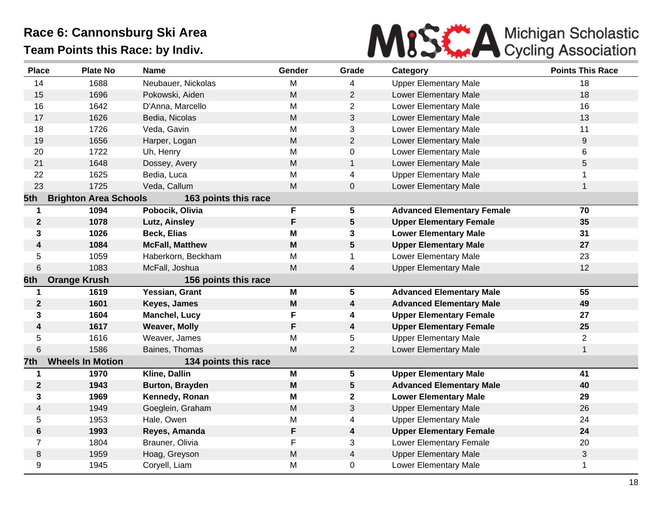

| <b>Place</b>            | <b>Plate No</b>              | <b>Name</b>            | Gender                                                                                | Grade                   | Category                          | <b>Points This Race</b> |
|-------------------------|------------------------------|------------------------|---------------------------------------------------------------------------------------|-------------------------|-----------------------------------|-------------------------|
| 14                      | 1688                         | Neubauer, Nickolas     | M                                                                                     | 4                       | <b>Upper Elementary Male</b>      | 18                      |
| 15                      | 1696                         | Pokowski, Aiden        | M                                                                                     | $\overline{2}$          | Lower Elementary Male             | 18                      |
| 16                      | 1642                         | D'Anna, Marcello       | M                                                                                     | $\overline{2}$          | Lower Elementary Male             | 16                      |
| 17                      | 1626                         | Bedia, Nicolas         | M                                                                                     | 3                       | Lower Elementary Male             | 13                      |
| 18                      | 1726                         | Veda, Gavin            | M                                                                                     | 3                       | Lower Elementary Male             | 11                      |
| 19                      | 1656                         | Harper, Logan          | M                                                                                     | $\overline{2}$          | Lower Elementary Male             | 9                       |
| 20                      | 1722                         | Uh, Henry              | M                                                                                     | 0                       | Lower Elementary Male             | 6                       |
| 21                      | 1648                         | Dossey, Avery          | M                                                                                     | $\mathbf{1}$            | Lower Elementary Male             | 5                       |
| 22                      | 1625                         | Bedia, Luca            | M                                                                                     | 4                       | <b>Upper Elementary Male</b>      | 1                       |
| 23                      | 1725                         | Veda, Callum           | M                                                                                     | $\pmb{0}$               | Lower Elementary Male             | 1                       |
| 5th                     | <b>Brighton Area Schools</b> | 163 points this race   |                                                                                       |                         |                                   |                         |
| $\mathbf 1$             | 1094                         | Pobocik, Olivia        | F                                                                                     | $5\phantom{.0}$         | <b>Advanced Elementary Female</b> | 70                      |
| $\boldsymbol{2}$        | 1078                         | Lutz, Ainsley          | F                                                                                     | $5\phantom{.0}$         | <b>Upper Elementary Female</b>    | 35                      |
| 3                       | 1026                         | <b>Beck, Elias</b>     | M                                                                                     | $\mathbf{3}$            | <b>Lower Elementary Male</b>      | 31                      |
| $\boldsymbol{4}$        | 1084                         | <b>McFall, Matthew</b> | M                                                                                     | $5\phantom{.0}$         | <b>Upper Elementary Male</b>      | 27                      |
| 5                       | 1059                         | Haberkorn, Beckham     | M                                                                                     | $\mathbf 1$             | Lower Elementary Male             | 23                      |
| 6                       | 1083                         | McFall, Joshua         | M                                                                                     | $\overline{4}$          | <b>Upper Elementary Male</b>      | 12                      |
| 6th                     | <b>Orange Krush</b>          | 156 points this race   |                                                                                       |                         |                                   |                         |
| $\mathbf 1$             | 1619                         | Yessian, Grant         | M                                                                                     | 5                       | <b>Advanced Elementary Male</b>   | 55                      |
| $\boldsymbol{2}$        | 1601                         | Keyes, James           | $\mathsf{M}% _{T}=\mathsf{M}_{T}\!\left( a,b\right) ,\ \mathsf{M}_{T}=\mathsf{M}_{T}$ | $\overline{\mathbf{4}}$ | <b>Advanced Elementary Male</b>   | 49                      |
| 3                       | 1604                         | Manchel, Lucy          | F                                                                                     | 4                       | <b>Upper Elementary Female</b>    | 27                      |
| $\overline{\mathbf{4}}$ | 1617                         | <b>Weaver, Molly</b>   | F                                                                                     | $\boldsymbol{4}$        | <b>Upper Elementary Female</b>    | 25                      |
| 5                       | 1616                         | Weaver, James          | M                                                                                     | 5                       | <b>Upper Elementary Male</b>      | $\overline{2}$          |
| 6                       | 1586                         | Baines, Thomas         | M                                                                                     | $\overline{2}$          | Lower Elementary Male             | $\mathbf{1}$            |
| 7th                     | <b>Wheels In Motion</b>      | 134 points this race   |                                                                                       |                         |                                   |                         |
| 1                       | 1970                         | Kline, Dallin          | M                                                                                     | $\overline{\mathbf{5}}$ | <b>Upper Elementary Male</b>      | 41                      |
| $\mathbf{2}$            | 1943                         | <b>Burton, Brayden</b> | M                                                                                     | $5\phantom{.0}$         | <b>Advanced Elementary Male</b>   | 40                      |
| 3                       | 1969                         | Kennedy, Ronan         | M                                                                                     | $\mathbf{2}$            | <b>Lower Elementary Male</b>      | 29                      |
| $\overline{4}$          | 1949                         | Goeglein, Graham       | ${\sf M}$                                                                             | 3                       | <b>Upper Elementary Male</b>      | 26                      |
| 5                       | 1953                         | Hale, Owen             | M                                                                                     | 4                       | <b>Upper Elementary Male</b>      | 24                      |
| 6                       | 1993                         | Reyes, Amanda          | F                                                                                     | 4                       | <b>Upper Elementary Female</b>    | 24                      |
| $\overline{7}$          | 1804                         | Brauner, Olivia        | F                                                                                     | 3                       | Lower Elementary Female           | 20                      |
| 8                       | 1959                         | Hoag, Greyson          | M                                                                                     | 4                       | <b>Upper Elementary Male</b>      | 3                       |
| 9                       | 1945                         | Coryell, Liam          | M                                                                                     | $\mathbf 0$             | Lower Elementary Male             | 1                       |